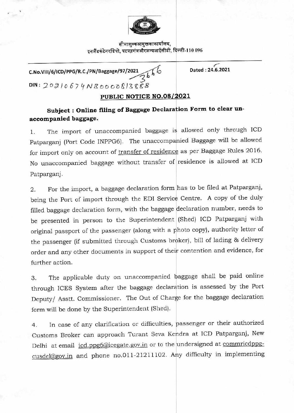

सीमाशुल्कआयुक्तकाकार्यालय, **5Q.,1 IR 4), ti dki 01,410** 1:4- r-ilo **<sup>096</sup>**

**C.No.V111/6/ICD/PPG/R.C./PN/Baggage/97/2021 Dated : 24.6.2021**   $DIN: 20810674NB000081388B$ 

## **PUBLIC NOTICE NO.08/2021**

## **Subject : Online filing of Baggage Declaration Form to clear unaccompanied baggage.**

1. The import of unaccompanied baggage is allowed only through ICD Patparganj (Port Code INPPG6). The unaccompanied Baggage will be allowed for import only on account of transfer of residence as per Baggage Rules 2016. No unaccompanied baggage without transfer of residence is allowed at ICD Patparganj.

2. For the import, a baggage declaration form has to be filed at Patparganj, being the Port of import through the EDI Service Centre. A copy of the duly filled baggage declaration form, with the baggage declaration number, needs to be presented in person to the Superintendent (Shed) ICD Patparganj with original passport of the passenger (along with a photo copy), authority letter of the passenger (if submitted through Customs broker), bill of lading & delivery order and any other documents in support of their contention and evidence, for further action.

3. The applicable duty on unaccompanied baggage shall be paid online through ICES System after the baggage declaration is assessed by the Port Deputy/ Asstt. Commissioner. The Out of Charge for the baggage declaration form will be done by the Superintendent (Shed).

4. In case of any clarification or difficulties, passenger or their authorized Customs Broker can approach Turant Seva Kendra at ICD Patparganj, New Delhi at email icd.ppg6@icegate.gov.in or to the undersigned at commricdppgcusdel@gov.in and phone no.011-21211102. Any difficulty in implementing